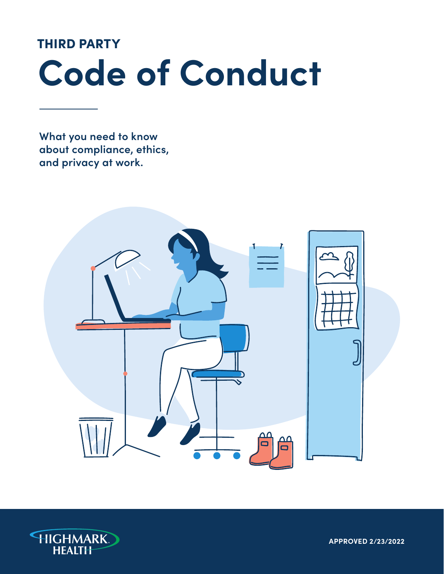## THIRD PARTY

# **Code of Conduct**

**What you need to know about compliance, ethics, and privacy at work.**



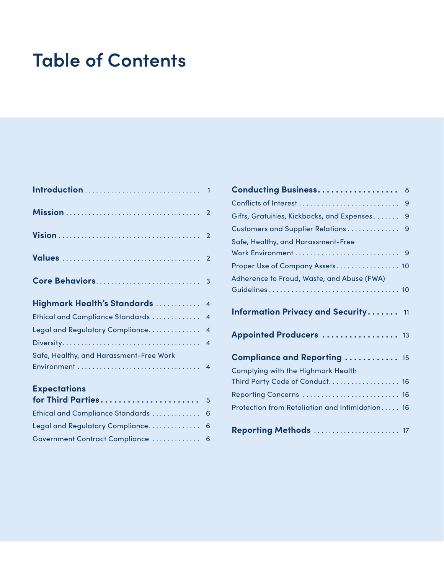# **Table of Contents**

| Highmark Health's Standards  4          |                         |
|-----------------------------------------|-------------------------|
| Ethical and Compliance Standards        | $\overline{4}$          |
| Legal and Regulatory Compliance         | $\overline{\mathbf{4}}$ |
|                                         | $\overline{\mathbf{A}}$ |
| Safe, Healthy, and Harassment-Free Work |                         |
| <b>Expectations</b>                     |                         |
| for Third Parties 5                     |                         |
| Ethical and Compliance Standards  6     |                         |
| Legal and Regulatory Compliance         | 6                       |

[Government Contract Compliance . . . . . . . . . . . . .](#page-7-0) 6

| <b>Conducting Business</b>                      | 8 |
|-------------------------------------------------|---|
|                                                 | 9 |
| Gifts, Gratuities, Kickbacks, and Expenses      | 9 |
| <b>Customers and Supplier Relations</b>         | 9 |
| Safe, Healthy, and Harassment-Free              |   |
|                                                 |   |
| Proper Use of Company Assets 10                 |   |
| Adherence to Fraud, Waste, and Abuse (FWA)      |   |
|                                                 |   |
| <b>Information Privacy and Security</b> 11      |   |
| Appointed Producers  13                         |   |
| Compliance and Reporting  15                    |   |
| Complying with the Highmark Health              |   |
| Third Party Code of Conduct 16                  |   |
| Reporting Concerns  16                          |   |
| Protection from Retaliation and Intimidation 16 |   |
| <b>Reporting Methods  17</b>                    |   |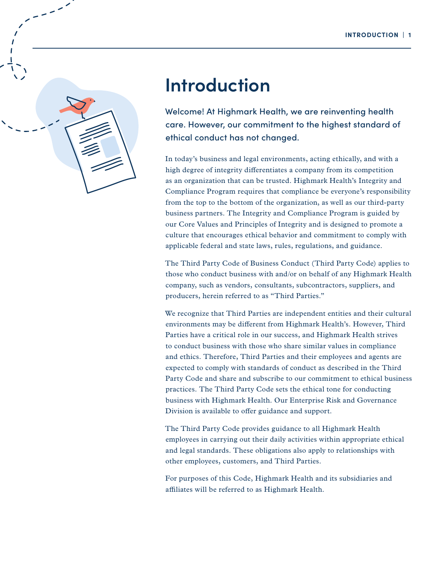<span id="page-2-0"></span>

# **Introduction**

Welcome! At Highmark Health, we are reinventing health care. However, our commitment to the highest standard of ethical conduct has not changed.

In today's business and legal environments, acting ethically, and with a high degree of integrity differentiates a company from its competition as an organization that can be trusted. Highmark Health's Integrity and Compliance Program requires that compliance be everyone's responsibility from the top to the bottom of the organization, as well as our third-party business partners. The Integrity and Compliance Program is guided by our Core Values and Principles of Integrity and is designed to promote a culture that encourages ethical behavior and commitment to comply with applicable federal and state laws, rules, regulations, and guidance.

The Third Party Code of Business Conduct (Third Party Code) applies to those who conduct business with and/or on behalf of any Highmark Health company, such as vendors, consultants, subcontractors, suppliers, and producers, herein referred to as "Third Parties."

We recognize that Third Parties are independent entities and their cultural environments may be different from Highmark Health's. However, Third Parties have a critical role in our success, and Highmark Health strives to conduct business with those who share similar values in compliance and ethics. Therefore, Third Parties and their employees and agents are expected to comply with standards of conduct as described in the Third Party Code and share and subscribe to our commitment to ethical business practices. The Third Party Code sets the ethical tone for conducting business with Highmark Health. Our Enterprise Risk and Governance Division is available to offer guidance and support.

The Third Party Code provides guidance to all Highmark Health employees in carrying out their daily activities within appropriate ethical and legal standards. These obligations also apply to relationships with other employees, customers, and Third Parties.

For purposes of this Code, Highmark Health and its subsidiaries and affiliates will be referred to as Highmark Health.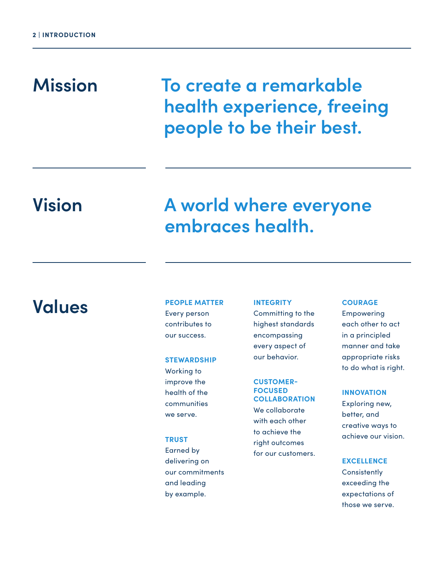# <span id="page-3-0"></span>**Mission**

**To create a remarkable health experience, freeing people to be their best.**

# **Vision**

# **A world where everyone embraces health.**

# **Values**

## **PEOPLE MATTER** Every person contributes to

### **STEWARDSHIP**

our success.

Working to improve the health of the communities we serve.

### **TRUST**

Earned by delivering on our commitments and leading by example.

### **INTEGRITY** Committing to the highest standards encompassing every aspect of our behavior.

## **CUSTOMER-FOCUSED COLLABORATION**  We collaborate with each other to achieve the

right outcomes for our customers.

#### **COURAGE**

Empowering each other to act in a principled manner and take appropriate risks to do what is right.

### **INNOVATION**

Exploring new, better, and creative ways to achieve our vision.

#### **EXCELLENCE**

**Consistently** exceeding the expectations of those we serve.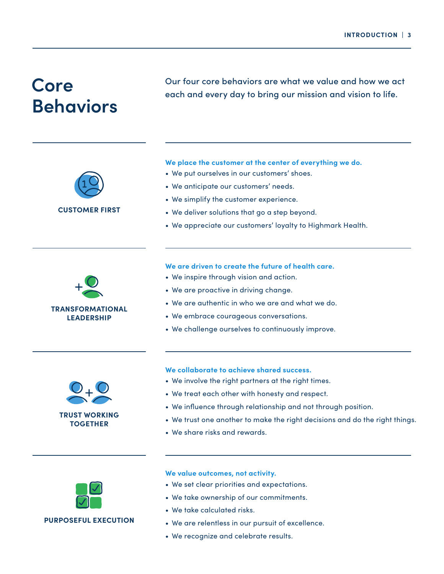# <span id="page-4-0"></span>**Behaviors**

Our four core behaviors are what we value and how we act **Core** each and every day to bring our mission and vision to life.

### We place the customer at the center of everything we do.

- We put ourselves in our customers' shoes.
- We anticipate our customers' needs .
- We simplify the customer experience .
- We deliver solutions that go a step beyond.
- We appreciate our customers' loyalty to Highmark Health.

# **TRANSFORMATIONAL LEADERSHIP**

**CUSTOMER FIRST**

### **We are driven to create the future of health care .**

- We inspire through vision and action.
- We are proactive in driving change.
- We are authentic in who we are and what we do.
- We embrace courageous conversations.
- We challenge ourselves to continuously improve .



#### **We collaborate to achieve shared success .**

- We involve the right partners at the right times.
- We treat each other with honesty and respect.
- We influence through relationship and not through position.
- We trust one another to make the right decisions and do the right things .
- We share risks and rewards.



### **PURPOSEFUL EXECUTION**

### **We value outcomes, not activity.**

- We set clear priorities and expectations .
- We take ownership of our commitments.
- We take calculated risks.
- We are relentless in our pursuit of excellence.
- We recognize and celebrate results.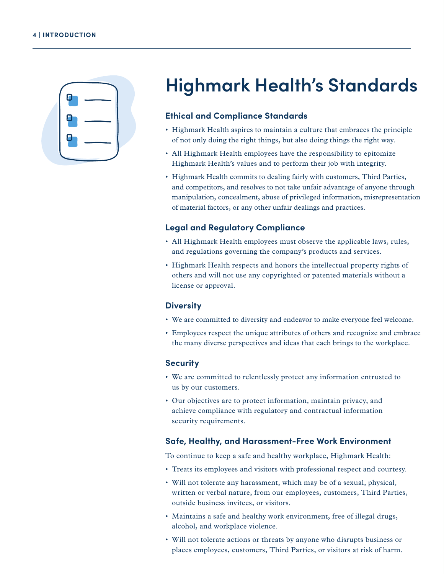<span id="page-5-0"></span>

# **Highmark Health's Standards**

### **Ethical and Compliance Standards**

- Highmark Health aspires to maintain a culture that embraces the principle of not only doing the right things, but also doing things the right way.
- All Highmark Health employees have the responsibility to epitomize Highmark Health's values and to perform their job with integrity.
- Highmark Health commits to dealing fairly with customers, Third Parties, and competitors, and resolves to not take unfair advantage of anyone through manipulation, concealment, abuse of privileged information, misrepresentation of material factors, or any other unfair dealings and practices.

### **Legal and Regulatory Compliance**

- All Highmark Health employees must observe the applicable laws, rules, and regulations governing the company's products and services.
- Highmark Health respects and honors the intellectual property rights of others and will not use any copyrighted or patented materials without a license or approval.

### **Diversity**

- We are committed to diversity and endeavor to make everyone feel welcome.
- Employees respect the unique attributes of others and recognize and embrace the many diverse perspectives and ideas that each brings to the workplace.

### **Security**

- We are committed to relentlessly protect any information entrusted to us by our customers.
- Our objectives are to protect information, maintain privacy, and achieve compliance with regulatory and contractual information security requirements.

### **Safe, Healthy, and Harassment-Free Work Environment**

To continue to keep a safe and healthy workplace, Highmark Health:

- Treats its employees and visitors with professional respect and courtesy.
- Will not tolerate any harassment, which may be of a sexual, physical, written or verbal nature, from our employees, customers, Third Parties, outside business invitees, or visitors.
- Maintains a safe and healthy work environment, free of illegal drugs, alcohol, and workplace violence.
- Will not tolerate actions or threats by anyone who disrupts business or places employees, customers, Third Parties, or visitors at risk of harm.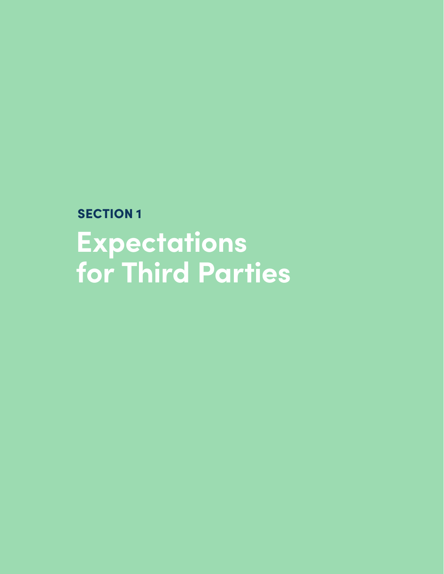<span id="page-6-0"></span>**SECTION 1 Expectations for Third Parties**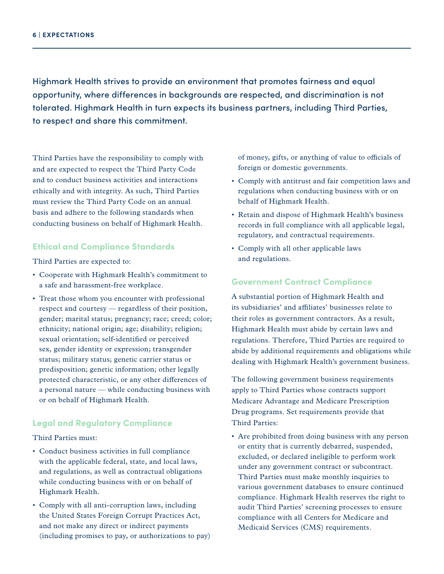<span id="page-7-0"></span>Highmark Health strives to provide an environment that promotes fairness and equal opportunity, where differences in backgrounds are respected, and discrimination is not tolerated. Highmark Health in turn expects its business partners, including Third Parties, to respect and share this commitment.

Third Parties have the responsibility to comply with and are expected to respect the Third Party Code and to conduct business activities and interactions ethically and with integrity. As such, Third Parties must review the Third Party Code on an annual basis and adhere to the following standards when conducting business on behalf of Highmark Health.

### **Ethical and Compliance Standards**

Third Parties are expected to:

- Cooperate with Highmark Health's commitment to a safe and harassment-free workplace.
- Treat those whom you encounter with professional respect and courtesy — regardless of their position, gender; marital status; pregnancy; race; creed; color; ethnicity; national origin; age; disability; religion; sexual orientation; self-identified or perceived sex, gender identity or expression; transgender status; military status; genetic carrier status or predisposition; genetic information; other legally protected characteristic, or any other differences of a personal nature — while conducting business with or on behalf of Highmark Health.

### **Legal and Regulatory Compliance**

Third Parties must:

- Conduct business activities in full compliance with the applicable federal, state, and local laws, and regulations, as well as contractual obligations while conducting business with or on behalf of Highmark Health.
- Comply with all anti-corruption laws, including the United States Foreign Corrupt Practices Act, and not make any direct or indirect payments (including promises to pay, or authorizations to pay)

of money, gifts, or anything of value to officials of foreign or domestic governments.

- Comply with antitrust and fair competition laws and regulations when conducting business with or on behalf of Highmark Health.
- Retain and dispose of Highmark Health's business records in full compliance with all applicable legal, regulatory, and contractual requirements.
- Comply with all other applicable laws and regulations.

#### **Government Contract Compliance**

A substantial portion of Highmark Health and its subsidiaries' and affiliates' businesses relate to their roles as government contractors. As a result, Highmark Health must abide by certain laws and regulations. Therefore, Third Parties are required to abide by additional requirements and obligations while dealing with Highmark Health's government business.

The following government business requirements apply to Third Parties whose contracts support Medicare Advantage and Medicare Prescription Drug programs. Set requirements provide that Third Parties:

• Are prohibited from doing business with any person or entity that is currently debarred, suspended, excluded, or declared ineligible to perform work under any government contract or subcontract. Third Parties must make monthly inquiries to various government databases to ensure continued compliance. Highmark Health reserves the right to audit Third Parties' screening processes to ensure compliance with all Centers for Medicare and Medicaid Services (CMS) requirements.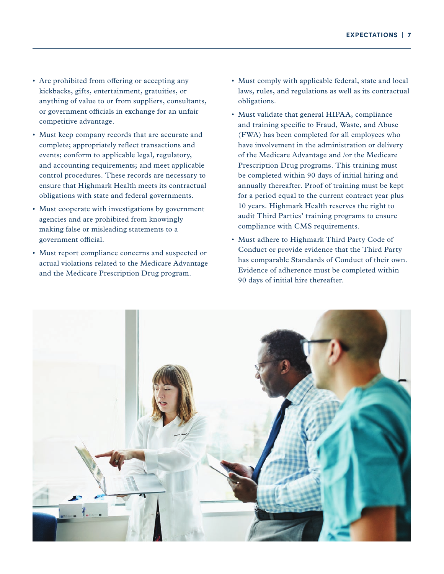- Are prohibited from offering or accepting any kickbacks, gifts, entertainment, gratuities, or anything of value to or from suppliers, consultants, or government officials in exchange for an unfair competitive advantage.
- Must keep company records that are accurate and complete; appropriately reflect transactions and events; conform to applicable legal, regulatory, and accounting requirements; and meet applicable control procedures. These records are necessary to ensure that Highmark Health meets its contractual obligations with state and federal governments.
- Must cooperate with investigations by government agencies and are prohibited from knowingly making false or misleading statements to a government official.
- Must report compliance concerns and suspected or actual violations related to the Medicare Advantage and the Medicare Prescription Drug program.
- Must comply with applicable federal, state and local laws, rules, and regulations as well as its contractual obligations.
- Must validate that general HIPAA, compliance and training specific to Fraud, Waste, and Abuse (FWA) has been completed for all employees who have involvement in the administration or delivery of the Medicare Advantage and /or the Medicare Prescription Drug programs. This training must be completed within 90 days of initial hiring and annually thereafter. Proof of training must be kept for a period equal to the current contract year plus 10 years. Highmark Health reserves the right to audit Third Parties' training programs to ensure compliance with CMS requirements.
- Must adhere to Highmark Third Party Code of Conduct or provide evidence that the Third Party has comparable Standards of Conduct of their own. Evidence of adherence must be completed within 90 days of initial hire thereafter.

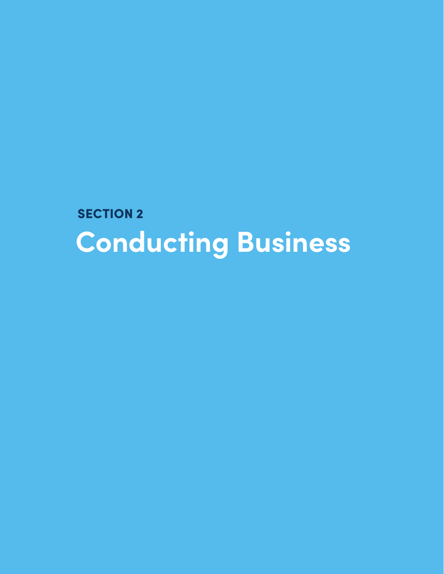<span id="page-9-0"></span>**SECTION 2 Conducting Business**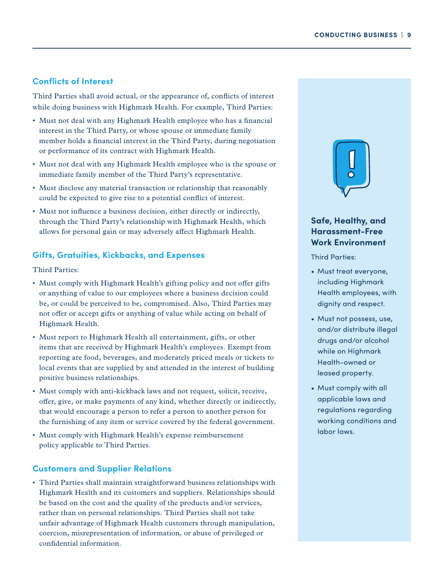### <span id="page-10-0"></span>**Conflicts of Interest**

Third Parties shall avoid actual, or the appearance of, conflicts of interest while doing business with Highmark Health. For example, Third Parties:

- Must not deal with any Highmark Health employee who has a financial interest in the Third Party, or whose spouse or immediate family member holds a financial interest in the Third Party, during negotiation or performance of its contract with Highmark Health.
- Must not deal with any Highmark Health employee who is the spouse or immediate family member of the Third Party's representative.
- Must disclose any material transaction or relationship that reasonably could be expected to give rise to a potential conflict of interest.
- Must not influence a business decision, either directly or indirectly, through the Third Party's relationship with Highmark Health, which allows for personal gain or may adversely affect Highmark Health.

### **Gifts, Gratuities, Kickbacks, and Expenses**

Third Parties:

- Must comply with Highmark Health's gifting policy and not offer gifts or anything of value to our employees where a business decision could be, or could be perceived to be, compromised. Also, Third Parties may not offer or accept gifts or anything of value while acting on behalf of Highmark Health.
- Must report to Highmark Health all entertainment, gifts, or other items that are received by Highmark Health's employees. Exempt from reporting are food, beverages, and moderately priced meals or tickets to local events that are supplied by and attended in the interest of building positive business relationships.
- Must comply with anti-kickback laws and not request, solicit, receive, offer, give, or make payments of any kind, whether directly or indirectly, that would encourage a person to refer a person to another person for the furnishing of any item or service covered by the federal government.
- Must comply with Highmark Health's expense reimbursement policy applicable to Third Parties.

### **Customers and Supplier Relations**

• Third Parties shall maintain straightforward business relationships with Highmark Health and its customers and suppliers. Relationships should be based on the cost and the quality of the products and/or services, rather than on personal relationships. Third Parties shall not take unfair advantage of Highmark Health customers through manipulation, coercion, misrepresentation of information, or abuse of privileged or confidential information.



### **Safe, Healthy, and Harassment-Free Work Environment**

Third Parties:

- Must treat everyone, including Highmark Health employees, with dignity and respect.
- Must not possess, use, and/or distribute illegal drugs and/or alcohol while on Highmark Health-owned or leased property.
- Must comply with all applicable laws and regulations regarding working conditions and labor laws.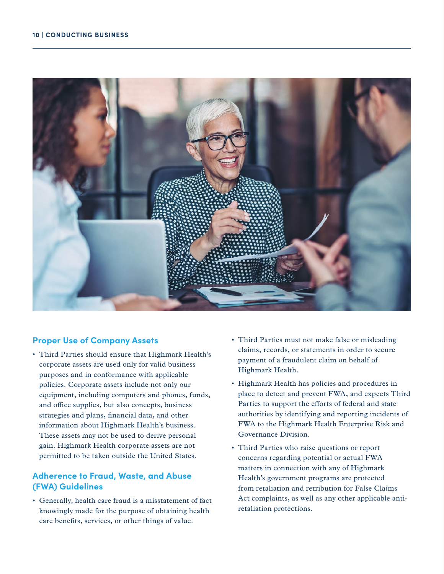<span id="page-11-0"></span>

### **Proper Use of Company Assets**

• Third Parties should ensure that Highmark Health's corporate assets are used only for valid business purposes and in conformance with applicable policies. Corporate assets include not only our equipment, including computers and phones, funds, and office supplies, but also concepts, business strategies and plans, financial data, and other information about Highmark Health's business. These assets may not be used to derive personal gain. Highmark Health corporate assets are not permitted to be taken outside the United States.

### **Adherence to Fraud, Waste, and Abuse (FWA) Guidelines**

• Generally, health care fraud is a misstatement of fact knowingly made for the purpose of obtaining health care benefits, services, or other things of value.

- Third Parties must not make false or misleading claims, records, or statements in order to secure payment of a fraudulent claim on behalf of Highmark Health.
- Highmark Health has policies and procedures in place to detect and prevent FWA, and expects Third Parties to support the efforts of federal and state authorities by identifying and reporting incidents of FWA to the Highmark Health Enterprise Risk and Governance Division.
- Third Parties who raise questions or report concerns regarding potential or actual FWA matters in connection with any of Highmark Health's government programs are protected from retaliation and retribution for False Claims Act complaints, as well as any other applicable antiretaliation protections.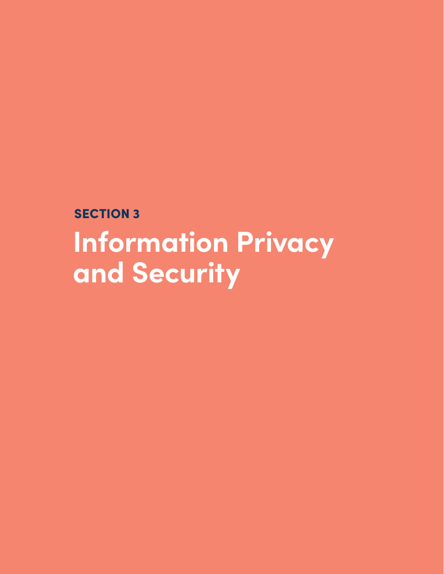<span id="page-12-0"></span>**SECTION 3 Information Privacy and Security**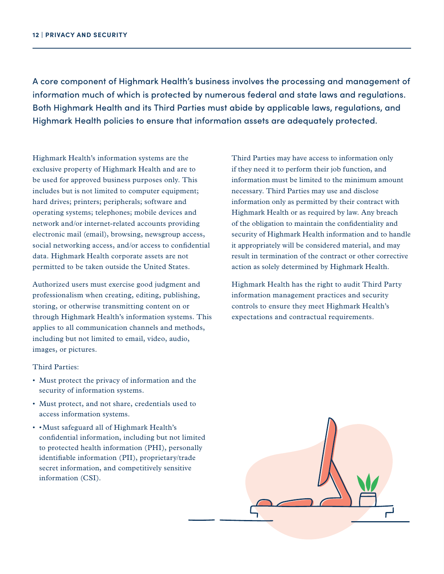A core component of Highmark Health's business involves the processing and management of information much of which is protected by numerous federal and state laws and regulations. Both Highmark Health and its Third Parties must abide by applicable laws, regulations, and Highmark Health policies to ensure that information assets are adequately protected.

Highmark Health's information systems are the exclusive property of Highmark Health and are to be used for approved business purposes only. This includes but is not limited to computer equipment; hard drives; printers; peripherals; software and operating systems; telephones; mobile devices and network and/or internet-related accounts providing electronic mail (email), browsing, newsgroup access, social networking access, and/or access to confidential data. Highmark Health corporate assets are not permitted to be taken outside the United States.

Authorized users must exercise good judgment and professionalism when creating, editing, publishing, storing, or otherwise transmitting content on or through Highmark Health's information systems. This applies to all communication channels and methods, including but not limited to email, video, audio, images, or pictures.

### Third Parties:

- Must protect the privacy of information and the security of information systems.
- Must protect, and not share, credentials used to access information systems.
- • Must safeguard all of Highmark Health's confidential information, including but not limited to protected health information (PHI), personally identifiable information (PII), proprietary/trade secret information, and competitively sensitive information (CSI).

Third Parties may have access to information only if they need it to perform their job function, and information must be limited to the minimum amount necessary. Third Parties may use and disclose information only as permitted by their contract with Highmark Health or as required by law. Any breach of the obligation to maintain the confidentiality and security of Highmark Health information and to handle it appropriately will be considered material, and may result in termination of the contract or other corrective action as solely determined by Highmark Health.

Highmark Health has the right to audit Third Party information management practices and security controls to ensure they meet Highmark Health's expectations and contractual requirements.

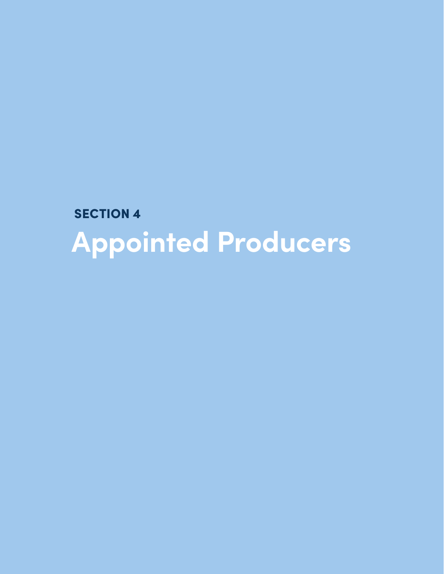<span id="page-14-0"></span>**SECTION 4 Appointed Producers**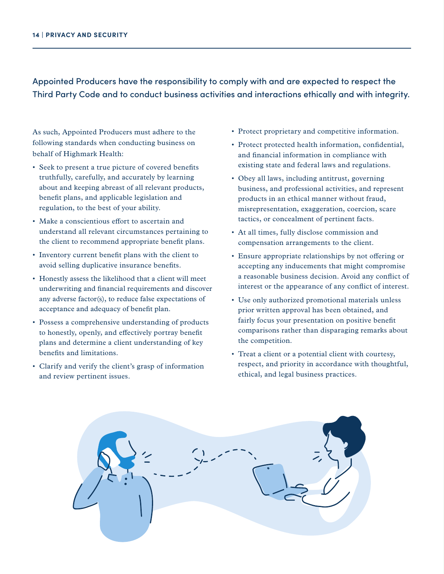Appointed Producers have the responsibility to comply with and are expected to respect the Third Party Code and to conduct business activities and interactions ethically and with integrity.

As such, Appointed Producers must adhere to the following standards when conducting business on behalf of Highmark Health:

- Seek to present a true picture of covered benefits truthfully, carefully, and accurately by learning about and keeping abreast of all relevant products, benefit plans, and applicable legislation and regulation, to the best of your ability.
- Make a conscientious effort to ascertain and understand all relevant circumstances pertaining to the client to recommend appropriate benefit plans.
- Inventory current benefit plans with the client to avoid selling duplicative insurance benefits.
- Honestly assess the likelihood that a client will meet underwriting and financial requirements and discover any adverse factor(s), to reduce false expectations of acceptance and adequacy of benefit plan.
- Possess a comprehensive understanding of products to honestly, openly, and effectively portray benefit plans and determine a client understanding of key benefits and limitations.
- Clarify and verify the client's grasp of information and review pertinent issues.
- Protect proprietary and competitive information.
- Protect protected health information, confidential, and financial information in compliance with existing state and federal laws and regulations.
- Obey all laws, including antitrust, governing business, and professional activities, and represent products in an ethical manner without fraud, misrepresentation, exaggeration, coercion, scare tactics, or concealment of pertinent facts.
- At all times, fully disclose commission and compensation arrangements to the client.
- Ensure appropriate relationships by not offering or accepting any inducements that might compromise a reasonable business decision. Avoid any conflict of interest or the appearance of any conflict of interest.
- Use only authorized promotional materials unless prior written approval has been obtained, and fairly focus your presentation on positive benefit comparisons rather than disparaging remarks about the competition.
- Treat a client or a potential client with courtesy, respect, and priority in accordance with thoughtful, ethical, and legal business practices.

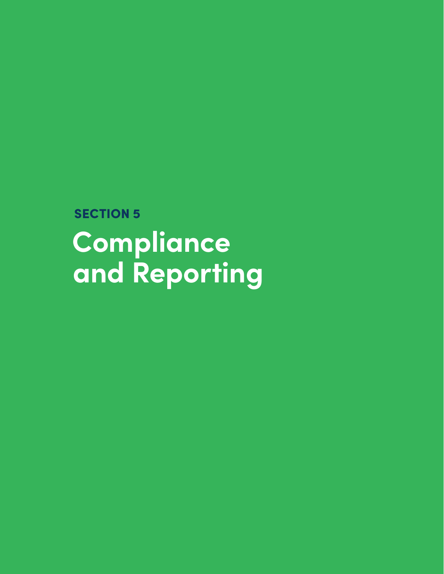<span id="page-16-0"></span>**SECTION 5 Compliance and Reporting**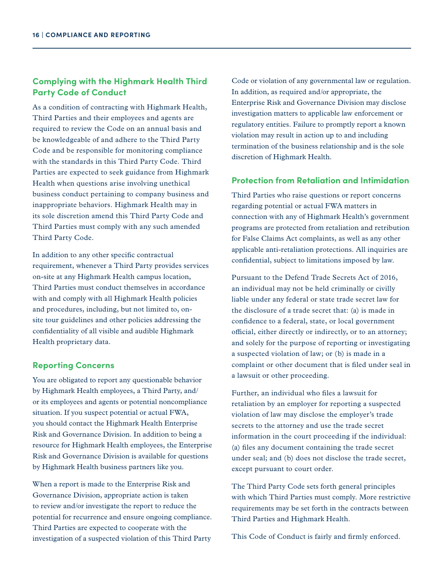### <span id="page-17-0"></span>**Complying with the Highmark Health Third Party Code of Conduct**

As a condition of contracting with Highmark Health, Third Parties and their employees and agents are required to review the Code on an annual basis and be knowledgeable of and adhere to the Third Party Code and be responsible for monitoring compliance with the standards in this Third Party Code. Third Parties are expected to seek guidance from Highmark Health when questions arise involving unethical business conduct pertaining to company business and inappropriate behaviors. Highmark Health may in its sole discretion amend this Third Party Code and Third Parties must comply with any such amended Third Party Code.

In addition to any other specific contractual requirement, whenever a Third Party provides services on-site at any Highmark Health campus location, Third Parties must conduct themselves in accordance with and comply with all Highmark Health policies and procedures, including, but not limited to, onsite tour guidelines and other policies addressing the confidentiality of all visible and audible Highmark Health proprietary data.

### **Reporting Concerns**

You are obligated to report any questionable behavior by Highmark Health employees, a Third Party, and/ or its employees and agents or potential noncompliance situation. If you suspect potential or actual FWA, you should contact the Highmark Health Enterprise Risk and Governance Division. In addition to being a resource for Highmark Health employees, the Enterprise Risk and Governance Division is available for questions by Highmark Health business partners like you.

When a report is made to the Enterprise Risk and Governance Division, appropriate action is taken to review and/or investigate the report to reduce the potential for recurrence and ensure ongoing compliance. Third Parties are expected to cooperate with the investigation of a suspected violation of this Third Party

Code or violation of any governmental law or regulation. In addition, as required and/or appropriate, the Enterprise Risk and Governance Division may disclose investigation matters to applicable law enforcement or regulatory entities. Failure to promptly report a known violation may result in action up to and including termination of the business relationship and is the sole discretion of Highmark Health.

### **Protection from Retaliation and Intimidation**

Third Parties who raise questions or report concerns regarding potential or actual FWA matters in connection with any of Highmark Health's government programs are protected from retaliation and retribution for False Claims Act complaints, as well as any other applicable anti-retaliation protections. All inquiries are confidential, subject to limitations imposed by law.

Pursuant to the Defend Trade Secrets Act of 2016, an individual may not be held criminally or civilly liable under any federal or state trade secret law for the disclosure of a trade secret that: (a) is made in confidence to a federal, state, or local government official, either directly or indirectly, or to an attorney; and solely for the purpose of reporting or investigating a suspected violation of law; or (b) is made in a complaint or other document that is filed under seal in a lawsuit or other proceeding.

Further, an individual who files a lawsuit for retaliation by an employer for reporting a suspected violation of law may disclose the employer's trade secrets to the attorney and use the trade secret information in the court proceeding if the individual: (a) files any document containing the trade secret under seal; and (b) does not disclose the trade secret, except pursuant to court order.

The Third Party Code sets forth general principles with which Third Parties must comply. More restrictive requirements may be set forth in the contracts between Third Parties and Highmark Health.

This Code of Conduct is fairly and firmly enforced.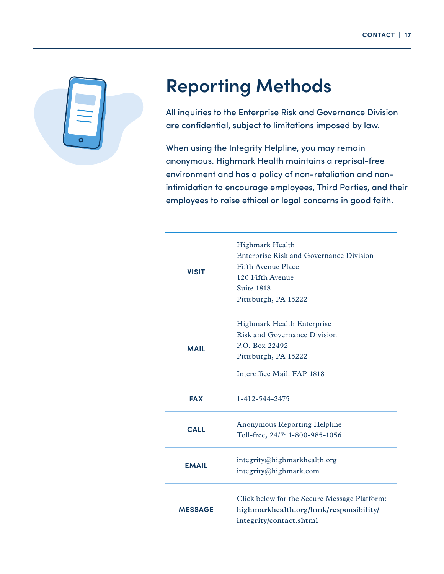<span id="page-18-0"></span>

# **Reporting Methods**

All inquiries to the Enterprise Risk and Governance Division are confidential, subject to limitations imposed by law.

When using the Integrity Helpline, you may remain anonymous. Highmark Health maintains a reprisal-free environment and has a policy of non-retaliation and nonintimidation to encourage employees, Third Parties, and their employees to raise ethical or legal concerns in good faith.

| <b>VISIT</b>   | <b>Highmark Health</b><br><b>Enterprise Risk and Governance Division</b><br>Fifth Avenue Place<br>120 Fifth Avenue<br>Suite 1818<br>Pittsburgh, PA 15222 |
|----------------|----------------------------------------------------------------------------------------------------------------------------------------------------------|
| <b>MAIL</b>    | <b>Highmark Health Enterprise</b><br><b>Risk and Governance Division</b><br>P.O. Box 22492<br>Pittsburgh, PA 15222<br>Interoffice Mail: FAP 1818         |
| <b>FAX</b>     | 1-412-544-2475                                                                                                                                           |
| <b>CALL</b>    | Anonymous Reporting Helpline<br>Toll-free, 24/7: 1-800-985-1056                                                                                          |
| <b>EMAIL</b>   | integrity@highmarkhealth.org<br>integrity@highmark.com                                                                                                   |
| <b>MESSAGE</b> | Click below for the Secure Message Platform:<br>highmarkhealth.org/hmk/responsibility/<br>integrity/contact.shtml                                        |